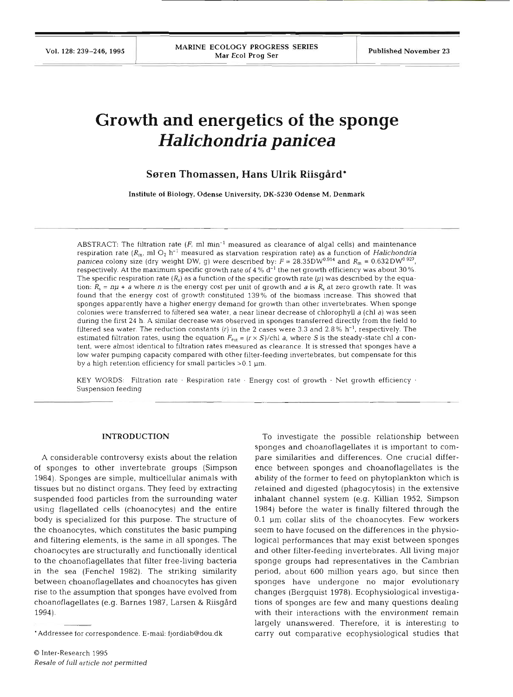Vol. 128: 239-246,1995 **MARINE ECOLOGY** PROGRESS SERIES Mar Ecol Prog **Ser** Published November 23

# **Growth and energetics of the sponge**  *Halich on dria panicea*

## **Ssren Thomassen, Hans Ulrik Riisgdrd\***

Institute of Biology, Odense University. DK-5230 Odense M, Denmark

ABSTRACT: The filtration rate  $(F, m1 min^{-1}$  measured as clearance of algal cells) and maintenance respiration rate  $(R_m, m1 O_2 h^{-1}$  measured as starvation respiration rate) as a function of *Halichondria panicea* colony size (dry weight DW, g) were described by:  $F = 28.35DW^{0.914}$  and  $R_m = 0.632DW^{0.927}$ , respectively. At the maximum specific growth rate of  $4\%$  d<sup>-1</sup> the net growth efficiency was about 30%. The specific respiration rate  $(R_s)$  as a function of the specific growth rate  $(\mu)$  was described by the equation:  $R_s = n\mu + a$  where *n* is the energy cost per unit of growth and *a* is  $R_s$  at zero growth rate. It was found that the energy cost of growth constituted 139% of the biomass increase. This showed that sponges apparently have a higher energy demand for growth than other invertebrates. When sponge colonies were transferred to filtered sea water, a near linear decrease of chlorophyll a (chl *a)* was seen during the first 24 h A similar decrease was observed in sponges transferred directly from the field to filtered sea water. The reduction constants (r) in the 2 cases were 3.3 and 2.8% h<sup>-1</sup>, respectively. The estimated filtration rates, using the equation  $F_{est} = (r \times S)/\text{chl}$  a, where S is the steady-state chl a content, were almost identical to filtration rates measured as clearance. It is stressed that sponges have a low water pumping capacity compared with other filter-feeding invertebrates, but compensate for this by a high retention efficiency for small particles **z0.1** pm.

KEY WORDS: Filtration rate · Respiration rate · Energy cost of growth · Net growth efficiency · Suspension feeding

#### **INTRODUCTION**

A considerable controversy exists about the relation of sponges to other invertebrate groups (Simpson 1984). Sponges are simple, multicellular animals with tissues but no distinct organs. They feed by extracting suspended food particles from the surrounding water using flagellated cells (choanocytes) and the entire body is specialized for this purpose. The structure of the choanocytes, which constitutes the basic pumping and filtering elements, is the same in all sponges. The choanocytes are structurally and functionally identical to the choanoflagellates that filter free-living bacteria in the sea (Fenchel 1982). The striking similarity between choanoflagellates and choanocytes has given rise to the assumption that sponges have evolved from choanoflagellates (e.g. Barnes 1987, Larsen & Riisgård 1994).

To investigate the possible relationship between sponges and choanoflagellates it is important to compare similarities and differences. One crucial difference between sponges and choanoflagellates is the ability of the former to feed on phytoplankton which is retained and digested (phagocytosis) in the extensive inhalant channel system (e.g. Killian 1952, Simpson 1984) before the water is finally filtered through the 0.1 pm collar slits of the choanocytes. Few workers seem to have focused on the differences in the physiological performances that may exist between sponges and other filter-feeding invertebrates. All Living major sponge groups had representatives in the Cambrian period, about 600 million years ago, but since then sponges have undergone no major evolutionary changes (Bergquist 1978). Ecophysiological investigations of sponges are few and many questions dealing with their interactions with the environment rem largely unanswered. Therefore, it is interesting to carry out comparative ecophysiological studies that

<sup>&#</sup>x27;Addressee for correspondence. E-mail: fjordlab@dou.dk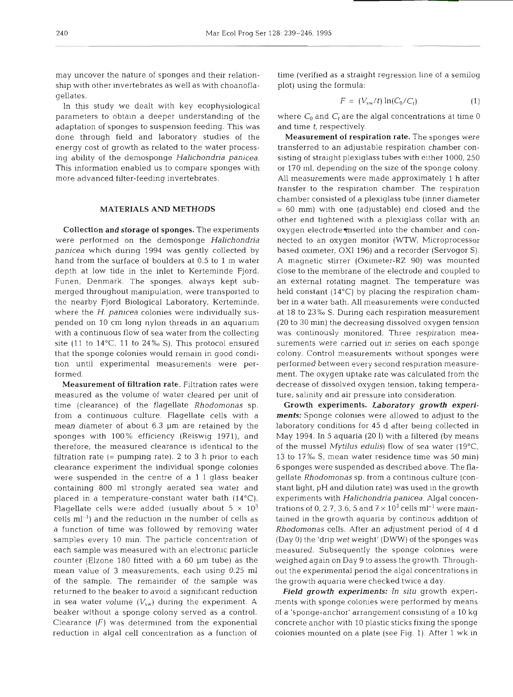may uncover the nature of sponges and their relationship with other invertebrates as well as with choanoflagellates.

In this study we dealt with key ecophysiological parameters to obtain a deeper understanding of the adaptation of sponges to suspension feeding. This was done through field and laboratory studies of the energy cost of growth as related to the water processing ability of the demosponge *Halichondria panicea.*  This information enabled us to compare sponges with more advanced filter-feeding invertebrates.

### MATERIALS AND METHODS

Collection and storage of sponges. The experiments were performed on the demosponge *Halichondria panicea* which during 1994 was gently collected by hand from the surface of boulders at 0.5 to 1 m water depth at low tide in the inlet to Kerteminde Fjord, Funen, Denmark. The sponges, always kept submerged throughout manipulation, were transported to the nearby Fjord Biological Laboratory, Kerteminde, where the *H. panicea* colonies were individually suspended on 10 cm long nylon threads in an aquarium with a continuous flow of sea water from the collecting site (11 to  $14^{\circ}$ C, 11 to 24‰ S). This protocol ensured that the sponge colonies would remain in good condition until experimental measurements were performed.

Measurement of filtration rate. Filtration rates were measured as the volume of water cleared per unit of time (clearance) of the flagellate *Rhodomonas* sp. from a continuous culture. Flagellate cells with a mean diameter of about 6.3 pm are retained by the sponges with 100% efficiency (Reiswig 1971), and therefore, the measured clearance is identical to the filtration rate (= pumping rate). 2 to 3 h prior to each clearance experiment the individual sponge colonies were suspended in the centre of a 1 1 glass beaker containing 800 m1 strongly aerated sea water and placed in a temperature-constant water bath (14°C). Flagellate cells were added (usually about  $5 \times 10^3$ cells  $ml^{-1}$ ) and the reduction in the number of cells as a function of time was followed by removing water samples every 10 min. The particle concentration of each sample was measured with an electronic particle counter (Elzone 180 fitted with a 60 pm tube) as the mean value of 3 measurements, each using 0.25 m1 of the sample. The remainder of the sample was returned to the beaker to avoid a significant reduction in sea water volume  $(V_{sw})$  during the experiment. A beaker without a sponge colony served as a control. Clearance  $(F)$  was determined from the exponential reduction in algal cell concentration as a function of

time (verified as a straight regression line of a semilog plot) using the formula:

$$
F = (V_{\rm sw}/t) \ln(C_0/C_t) \tag{1}
$$

where  $C_0$  and  $C_t$  are the algal concentrations at time 0 and time *t,* respectively.

Measurement of respiration rate. The sponges were transferred to an adjustable respiration chamber consisting of straight plexiglass tubes with either 1000, 250 or 170 ml, depending on the size of the sponge colony. All measurements were made approximately 1 h after transfer to the respiration chamber. The respiration chamber consisted of a plexiglass tube (inner diameter <sup>=</sup>60 mm) with one (adjustable) end closed and the other end tightened with a plexiglass collar with an oxygen electrode inserted into the chamber and connected to an oxygen monitor (WTW, Microprocessor based oximeter, OX1 196) and a recorder (Servogor S). A magnetic stirrer (Oximeter-RZ 90) was mounted close to the membrane of the electrode and coupled to an external rotating magnet. The temperature was held constant (14°C) by placing the respiration chamber in a water bath. All measurements were conducted at 18 to 23‰ S. During each respiration measurement (20 to 30 min) the decreasing dissolved oxygen tension was continously monitored. Three respiration measurements were carried out in series on each sponge colony. Control measurements without sponges were performed between every second respiration measurement. The oxygen uptake rate was calculated from the decrease of dissolved oxygen tension, taking temperature, salinity and air pressure into consideration.

Growth experiments. *Laboratory growth experiments:* Sponge colonies were allowed to adjust to the laboratory conditions for 45 d after being collected in May 1994. In 5 aquaria (20 1) with a filtered (by means of the mussel **Mytilus** *edulis)* flow of sea water (lg°C, 13 to 17% S, mean water residence time was 50 min) 6 sponges were suspended as described above. The flagellate *Rhodomonas* sp. from a continous culture (constant light, pH and dilution rate) was used in the growth experiments with *Halichondria panicea.* Algal concentrations of 0, 2.7, 3.6, 5 and  $7 \times 10^3$  cells ml<sup>-1</sup> were maintained in the growth aquaria by continous addition of *Rhodomonas* cells. After an adjustment period of 4 d (Day 0) the 'drip wet weight' (DWW) of the sponges was measured. Subsequently the sponge colonies were weighed again on Day 9 to assess the growth. Throughout the experimental period the algal concentrations in the growth aquaria were checked twice a day.

*Field growth experiments: In situ* growth experiments with sponge colonies were performed by means of a 'sponge-anchor' arrangement consisting of a 10 kg concrete anchor with 10 plastic sticks fixing the sponge colonies mounted on a plate (see Fig. 1). After 1 wk in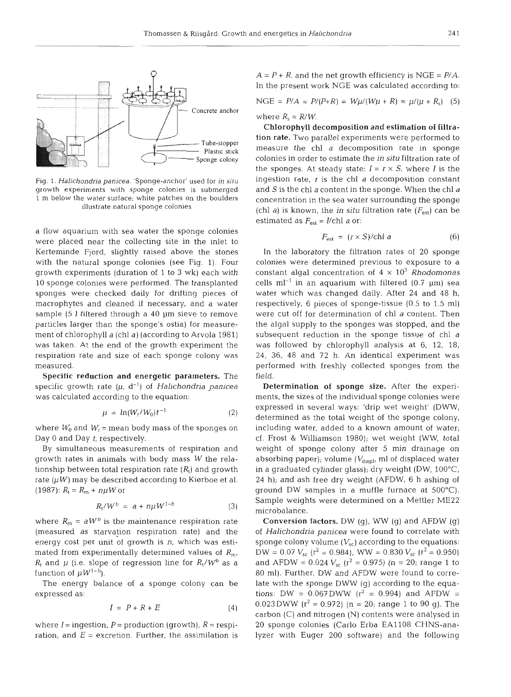

Fig. 1. *Hahchondria panlcea.* 'Sponge-anchor' used for *in situ*  growth experiments with sponge colonies is submerged 1 m below the water surface; white patches on the boulders illustrate natural sponge colonies

a flow aquarium with sea water the sponge colonies were placed near the collecting site in the inlet to Kerteminde Fjord, slightly raised above the stones with the natural sponge colonies (see Fig. 1). Four growth experiments (duration of 1 to 3 wk) each with 10 sponge colonies were performed. The transplanted sponges were checked daily for drifting pieces of macrophytes and cleaned if necessary, and a water sample (5 1 filtered through a 40 µm sieve to remove particles larger than the sponge's ostia) for measurement of chlorophyll a (chl a) (according to Arvola 1981) was taken. At the end of the growth experiment the respiration rate and size of each sponge colony was measured.

Specific reduction and energetic parameters. The specific growth rate  $(\mu, d^{-1})$  of Halichondria panicea was calculated according to the equation:

$$
\mu = \ln(W_t/W_0)t^{-1} \tag{2}
$$

where  $W_0$  and  $W_t$  = mean body mass of the sponges on Day 0 and Day t, respectively.

By simultaneous measurements of respiration and growth rates in animals with body mass W the relationship between total respiration rate  $(R_t)$  and growth rate  $(\mu W)$  may be described according to Kiørboe et al. (1987):  $R_{\rm t} = R_{\rm m} + n\mu W$  or

$$
R_1/W^b = a + n\mu W^{1-b} \tag{3}
$$

where  $R_m = aW^b$  is the maintenance respiration rate (measured as starvation respiration rate) and the energy cost per unit of growth is  $n$ , which was estimated from experimentally determined values of  $R_{m}$ ,  $R_t$  and  $\mu$  (i.e. slope of regression line for  $R_t/W^b$  as a function of  $\mu W^{1-b}$ ).

The energy balance of a sponge colony can be expressed as:

$$
I = P + R + E \tag{4}
$$

where  $I =$  ingestion,  $P =$  production (growth),  $R =$  respiration, and  $E =$  excretion. Further, the assimilation is  $A = P + R$ , and the net growth efficiency is NGE =  $P/A$ . In the present work NGE was calculated according to:

$$
NGE = P/A = P/(P+R) = W\mu/(W\mu + R) = \mu/(\mu + R_s)
$$
 (5)

### where  $R_s = R/W$ .

Chlorophyll decomposition and estimation of filtration rate. Two parallel experiments were performed to measure the chl a decomposition rate in sponge colonies in order to estimate the in *situ* filtration rate of the sponges. At steady state:  $I = r \times S$ , where I is the ingestion rate, *r* is the chl a decomposition constant and  $S$  is the chl  $a$  content in the sponge. When the chl  $a$ concentration in the sea water surrounding the sponge (chl  $a$ ) is known, the *in situ* filtration rate ( $F_{est}$ ) can be estimated as  $F_{est} = I$ /chl *a* or:

$$
F_{\text{est}} = (r \times S) / \text{chl } a \tag{6}
$$

In the laboratory the filtration rates of 20 sponge colonies were determined previous to exposure to a constant algal concentration of  $4 \times 10^3$  Rhodomonas cells ml<sup>-1</sup> in an aquarium with filtered  $(0.7 \text{ }\mu\text{m})$  sea water which was changed daily. After 24 and 48 h, respectively, 6 pieces of sponge-tissue (0.5 to 1.5 ml) were cut off for determination of chl a content. Then the algal supply to the sponges was stopped, and the subsequent reduction in the sponge tissue of chl  $a$ was followed by chlorophyll analysis at 6, 12, 18, 24, 36, 48 and 72 h, An identical experiment was performed with freshly collected sponges from the field.

Determination of sponge size. After the experiments, the sizes of the individual sponge colonies were expressed in several ways: 'drip wet weight' (DWW, determined as the total weight of the sponge colony, including water, added to a known amount of water; cf. Frost & Williamson 1980); wet weight (WW, total weight of sponge colony after 5 min drainage on absorbing paper); volume  $(V_{\text{displ}})$ , ml of displaced water in a graduated cylinder glass); dry weight (DW, 100°C, 24 h); and ash free dry weight (AFDW, 6 h ashing of ground DW samples in a muffle furnace at 500°C). Sample weights were determined on a Mettler ME22 microbalance.

Conversion factors. DW (g), WW (g) and AFDW (g) of Halichondria panicea were found to correlate with sponge colony volume  $(V_{sc})$  according to the equations: DW = 0.07  $V_{\rm sc}$  ( $r^2$  = 0.984), WW = 0.830  $V_{\rm sc}$  ( $r^2$  = 0.950) and AFDW =  $0.024$   $V_{sc}$  ( $r^2 = 0.975$ ) (n = 20; range 1 to 80 ml). Further, DW and AFDW were found to correlate with the sponge DWW (g) according to the equations: DW =  $0.067$  DWW ( $r^2$  = 0.994) and AFDW = 0.023DWW  $(r^2 = 0.972)$  (n = 20; range 1 to 90 g). The carbon (C) and nitrogen (N) contents were analysed in 20 sponge colonies (Carlo Erba EA1108 CHNS-analyzer with Euger 200 software) and the following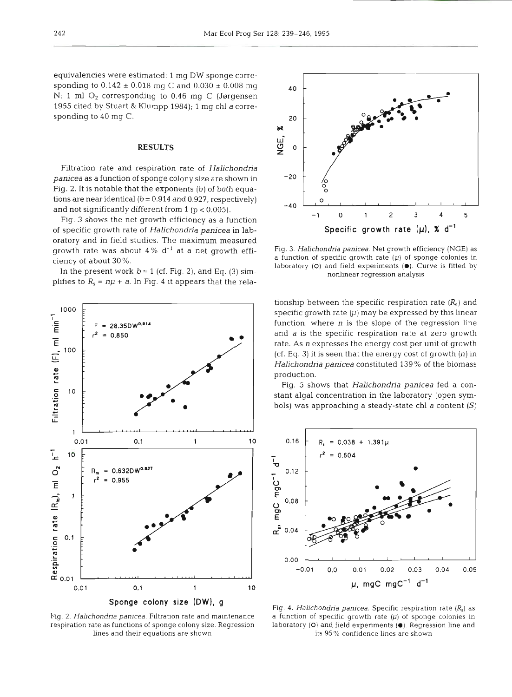equivalencies were estimated: 1 mg DW sponge corresponding to  $0.142 \pm 0.018$  mg C and  $0.030 \pm 0.008$  mg N; 1 ml O<sub>2</sub> corresponding to 0.46 mg C (Jørgensen 1955 cited by Stuart & Klumpp 1984); 1 mg chl *a* corresponding to 40 mg C.

#### **RESULTS**

Filtration rate and respiration rate of *Halichondria panicea* as a function of sponge colony size are shown in Fig. 2. It is notable that the exponents *(b)* of both equations are near identical  $(b = 0.914$  and 0.927, respectively) and not significantly different from  $1$  ( $p < 0.005$ ).

Fig. **3** shows the net growth efficiency as a function of specific growth rate of *Halichondria panicea* in laboratory and in field studies. The maximum measured growth rate was about  $4\%$  d<sup>-1</sup> at a net growth efficiency of about 30 %.

In the present work  $b \approx 1$  (cf. Fig. 2), and Eq. (3) simplifies to  $R_s = n\mu + a$ . In Fig. 4 it appears that the rela-



Fig. 2. Halichondria panicea. Filtration rate and maintenance respiration rate as functions of sponge colony size. Regression lines and their equations are shown



Fig. 3. Halichondria panicea. Net growth efficiency (NGE) as a function of specific growth rate  $(\mu)$  of sponge colonies in laboratory (0) and field experiments **(a).** Curve is fitted by nonlinear regression analysis

tionship between the specific respiration rate  $(R_s)$  and specific growth rate  $(\mu)$  may be expressed by this linear function, where *n* is the slope of the regression line and *a* is the specific respiration rate at zero growth rate. As *n* expresses the energy cost per unit of growth (cf. Eq. **3)** it is seen that the energy cost of growth *(n)* in *Halichondria panicea* constituted 139 % of the biomass production.

Fig. *5* shows that *Halichondria panicea* fed a constant algal concentration in the laboratory (open symbols) was approaching a steady-state chl *a* content (S)



Fig. 4. Halichondria panicea. Specific respiration rate **(h)** as a function of specific growth rate  $(\mu)$  of sponge colonies in laboratory (0) and field experiments **(a).** Regression line and its 95 % confidence lines are shown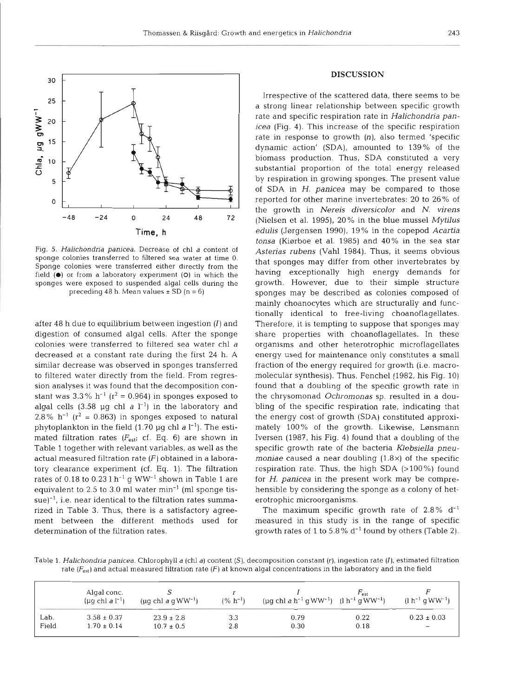

Fig. 5. Halichondria panicea. Decrease of chl a content of sponge colonies transferred to filtered sea water at time 0. Sponge colonies were transferred either directly from the field **(e)** or from a laboratory experiment **(0)** in which the sponges were exposed to suspended algal cells dunng the preceding 48 h. Mean values  $\pm$  SD (n = 6)

after 48 h due to equilibrium between ingestion  $(I)$  and digestion of consumed algal cells. After the sponge colonies were transferred to filtered sea water chl *a*  decreased at a constant rate during the first 24 h. A similar decrease was observed in sponges transferred to filtered water directly from the field. From regression analyses it was found that the decomposition constant was  $3.3\%$  h<sup>-1</sup> ( $r^2$  = 0.964) in sponges exposed to algal cells  $(3.58 \text{ µg chl a l}^{-1})$  in the laboratory and 2.8% h<sup>-1</sup> ( $r^2$  = 0.863) in sponges exposed to natural phytoplankton in the field  $(1.70 \text{ µq chl } a \text{ l}^{-1})$ . The estimated filtration rates ( $F_{est}$ ; cf. Eq. 6) are shown in Table 1 together with relevant variables, as well as the actual measured filtration rate  $(F)$  obtained in a laboratory clearance experiment (cf. Eq. 1). The filtration rates of 0.18 to 0.23  $1 h^{-1} g W W^{-1}$  shown in Table 1 are equivalent to 2.5 to 3.0 ml water  $min^{-1}$  (ml sponge tissue) $^{-1}$ , i.e. near identical to the filtration rates summarized in Table **3.** Thus, there is a satisfactory agreement between the different methods used for determination of the filtration rates.

#### **DISCUSSION**

Irrespective of the scattered data, there seems to be a strong linear relationship between specific growth rate and specific respiration rate in *Halichondria panicea* (Fig. 4). This increase of the specific respiration rate in response to growth *(n),* also termed 'specific dynamic action' (SDA), amounted to 139% of the biomass production. Thus, SDA constituted a very substantial proportion of the total energy released by respiration in growing sponges. The present value of SDA in H. *panicea* may be compared to those reported for other marine invertebrates: 20 to 26% of the growth in *Nereis diversicolor* and *N. virens*  (Nielsen et al. 1995), 20% in the blue mussel *Mytilus edulis* (Jergensen 1990), 19% in the copepod *Acartia tonsa* (Kiørboe et al. 1985) and 40% in the sea star *Asferias rubens* (Vahl 1984). Thus, it seems obvious that sponges may differ from other invertebrates by having exceptionally high energy demands for growth. However, due to their simple structure sponges may be described as colonies composed of mainly choanocytes which are structurally and functionally identical to free-living choanoflagellates. Therefore, it is tempting to suppose that sponges may share properties with choanoflagellates. In these organisms and other heterotrophic microflagellates energy used for maintenance only constitutes a small fraction of the energy required for growth (i.e. macromolecular synthesis). Thus, Fenchel (1982, his Fig. 10) found that a doubling of the specific growth rate in the chrysomonad *Ochromonas* sp. resulted in a doubling of the specific respiration rate, indicating that the energy cost of growth (SDA) constituted approximately 100% of the growth. Likewise, Lensmann Iversen (1987, his Fig. 4) found that a doubling of the specific growth rate of the bacteria *Klebsiella pneumoniae* caused a near doubling (1.8~) of the specific respiration rate. Thus, the high SDA  $(>100\%)$  found for *H, panicea* in the present work may be comprehensible by considering the sponge as a colony of heterotrophic microorganisms.

The maximum specific growth rate of  $2.8\%$  d<sup>-1</sup> measured in this study is in the range of specific growth rates of 1 to 5.8%  $d^{-1}$  found by others (Table 2).

Table 1. Halichondria panicea. Chlorophyll a (chl a) content (S), decomposition constant (r), ingestion rate (I), estimated filtration rate  $(F_{est})$  and actual measured filtration rate  $(F)$  at known algal concentrations in the laboratory and in the field

|       | Algal conc.<br>$(\mu q \text{ chl } a l^{-1})$ | $(\mu q \text{ chl } a \text{ q} \text{WW}^{-1})$ | $(% h^{-1})$ | (µg chl a h <sup>-1</sup> g WW <sup>-1</sup> ) $(l h^{-1} g W W^{-1})$ | $F_{est}$ | $(l h^{-1} g W W^{-1})$  |
|-------|------------------------------------------------|---------------------------------------------------|--------------|------------------------------------------------------------------------|-----------|--------------------------|
| Lab.  | $3.58 \pm 0.37$                                | $23.9 \pm 2.8$                                    | 3.3          | 0.79                                                                   | 0.22      | $0.23 \pm 0.03$          |
| Field | $1.70 \pm 0.14$                                | $10.7 \pm 0.5$                                    | 2.8          | 0.30                                                                   | 0.18      | $\overline{\phantom{a}}$ |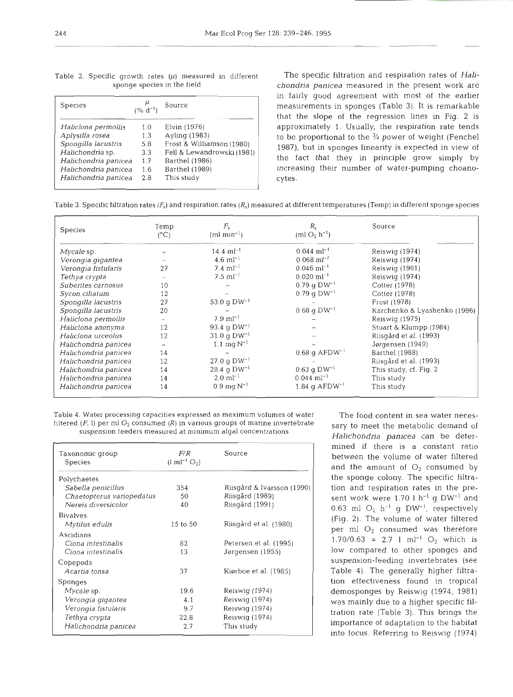| <b>Species</b>       | $(% d^{-1})$ | Source                     |
|----------------------|--------------|----------------------------|
| Haliclona permollis  | 1.0          | Elvin (1976)               |
| Aplysilla rosea      | 1.3          | Ayling (1983)              |
| Spongilla lacustris  | 5.8          | Frost & Williamson (1980)  |
| Halichondria sp.     | 3.3          | Fell & Lewandrowski (1981) |
| Halichondria panicea | 1.7          | Barthel (1986)             |
| Halichondria panicea | 1.6          | Barthel (1989)             |
| Halichondria panicea | 2.8          | This study                 |

Table 2. Specific growth rates *(p)* measured in different sponge species in the field

The specific filtration and respiration rates of *Halichondn'a* panicea measured in the present work are in fairly good agreement with most of the earlier measurements in sponges (Table 3). It is remarkable that the slope of the regression lines in Fig. 2 is approximately 1. Usually, the respiration rate tends to be proportional to the  $\frac{3}{4}$  power of weight (Fenchel **1987),** but in sponges linearity is expected in view of the fact that they in principle grow simply by increasing their number of water-pumping choanocytes.

Table 3. Specific filtration rates (F<sub>s</sub>) and respiration rates (R<sub>s</sub>) measured at different temperatures (Temp) in different sponge species

| Species              | Temp<br>$(^{\circ}C)$ | $F_{\rm c}$<br>${\rm (ml\ min^{-1})}$ | $R_{\rm c}$<br>(ml $O_2$ h <sup>-1</sup> ) | Source                       |
|----------------------|-----------------------|---------------------------------------|--------------------------------------------|------------------------------|
| Mycale sp.           |                       | $14.4 \text{ ml}^{-1}$                | $0.044$ ml <sup>-1</sup>                   | Reiswig (1974)               |
| Verongia gigantea    |                       | $4.6$ ml <sup>-1</sup>                | $0.068$ ml <sup>-1</sup>                   | Reiswig (1974)               |
| Verongia fistularis  | 27                    | $7.4 \text{ ml}^{-1}$                 | $0.046$ ml <sup>-1</sup>                   | Reiswig (1981)               |
| Tethya crypta        |                       | 7.5 $ml^{-1}$                         | $0.020 \text{ ml}^{-1}$                    | Reiswig (1974)               |
| Suberites carnosus   | 10                    |                                       | $0.79$ q DW <sup>-1</sup>                  | Cotter (1978)                |
| Sycon ciliatum       | 12                    |                                       | $0.79$ a $DW^{-1}$                         | Cotter (1978)                |
| Spongilla lacustris  | 27                    | 53.0 g $DW^{-1}$                      |                                            | Frost (1978)                 |
| Spongilla lacustris  | 20                    |                                       | $0.68$ q DW <sup>-1</sup>                  | Karchenko & Lyashenko (1986) |
| Haliclona permollis  |                       | $7.9 \text{ ml}^{-1}$                 |                                            | Reiswig (1975)               |
| Haliclona anonyma    | 12                    | 93.4 q $DW^{-1}$                      |                                            | Stuart & Klumpp (1984)       |
| Haliclona urceolus   | 12                    | $31.0 \text{ q}$ DW <sup>-1</sup>     |                                            | Riisgård et al. (1993)       |
| Halichondria panicea |                       | 1.1 mg $N^{-1}$                       |                                            | Jørgensen (1949)             |
| Halichondria panicea | 14                    |                                       | $0.68$ g AFDW <sup>-1</sup>                | Barthel (1988)               |
| Halichondria panicea | 12                    | $27.0$ g $DW^{-1}$                    |                                            | Riisgård et al. (1993)       |
| Halichondria panicea | 14                    | $28.4$ q $DW^{-1}$                    | $0.63$ q DW <sup>-1</sup>                  | This study, cf. Fig. 2       |
| Halichondria panicea | 14                    | $2.0 \text{ ml}^{-1}$                 | $0.044$ ml <sup>-1</sup>                   | This study                   |
| Halichondria panicea | 14                    | $0.9 \,\mathrm{mg} \,\mathrm{N}^{-1}$ | $1.84$ g AFDW <sup>-1</sup>                | This study                   |

Table 4. Water processing capacities expressed as maximum volumes of water The food content in sea water necesfiltered (F, 1) per ml O<sub>2</sub> consumed (R) in various groups of marine invertebrate sary to meet the metabolic demand of suspension feeders measured at minimum algal concentrations *Halichondria panicea* can be deter-

| Taxonomic group<br>Species | F/R<br>$(l \text{ ml}^{-1} \text{ O}_2)$ | Source                     |
|----------------------------|------------------------------------------|----------------------------|
| Polychaetes                |                                          |                            |
| Sabella penicillus         | 354                                      | Riisgård & Ivarsson (1990) |
| Chaetopterus variopedatus  | 50                                       | Riisgård (1989)            |
| Nereis diversicolor        | 40                                       | Riisgård (1991)            |
| <b>Bivalves</b>            |                                          |                            |
| Mytilus edulis             | 15 to 50                                 | Riisgård et al. (1980)     |
| Ascidians                  |                                          |                            |
| Ciona intestinalis         | 82                                       | Petersen et al. (1995)     |
| Ciona intestinalis         | 13                                       | Jørgensen (1955)           |
| Copepods                   |                                          |                            |
| Acartia tonsa              | 37                                       | Kiørboe et al. (1985)      |
| Sponges                    |                                          |                            |
| Mycale sp.                 | 19.6                                     | Reiswig (1974)             |
| Verongia gigantea          | 4.1                                      | Reiswig (1974)             |
| Verongia fistularis        | 9.7                                      | Reiswig (1974)             |
| Tethya crypta              | 22.8                                     | Reiswig (1974)             |
| Halichondria panicea       | 2.7                                      | This study                 |

mined if there is a constant ratio between the volume of water filtered and the amount of  $O_2$  consumed by the sponge colony. The specific filtration and respiration rates in the present work were  $1.70$  l  $h^{-1}$  g DW<sup>-1</sup> and 0.63 ml  $O_2$   $h^{-1}$  g  $DW^{-1}$ , respectively (Fig. 2). The volume of water filtered per m1 *O2* consumed was therefore  $1.70/0.63 = 2.7$  l ml<sup>-1</sup> O<sub>2</sub> which is low compared to other sponges and suspension-feeding invertebrates (see Table 4). The generally higher filtration effectiveness found in tropical demosponges by Reiswig (1974, 1981) was mainly due to a higher specific filtration rate (Table 3). This brings the importance of adaptation to the habitat into focus. Referring to Reiswig (1974)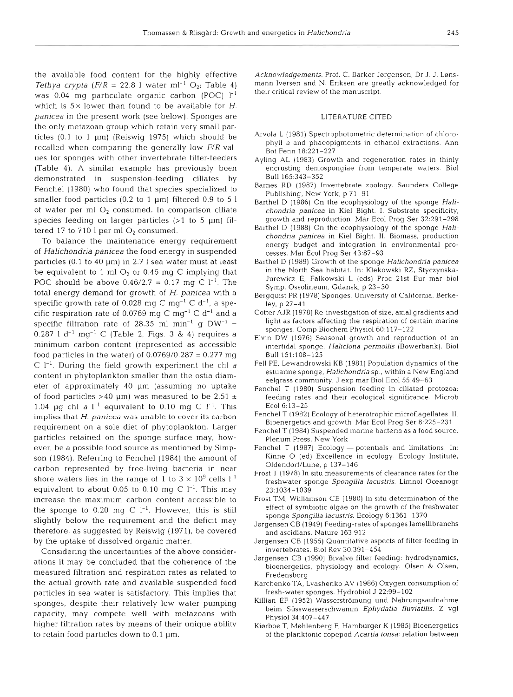the available food content for the highly effective Tethya crypta (F/R = 22.8 1 water ml<sup>-1</sup> O<sub>2</sub>; Table 4) was 0.04 mg particulate organic carbon (POC)  $1^{-1}$ which is  $5\times$  lower than found to be available for H. panicea in the present work (see below). Sponges are the only metazoan group which retain very small particles  $(0.1 \text{ to } 1 \text{ µm})$  (Reiswig 1975) which should be recalled when comparing the generally low F/R-values for sponges with other invertebrate filter-feeders  $(Table 4)$ . A similar example has previously been demonstrated in suspension-feeding ciliates by Fenchel (1980) who found that species specialized to smaller food particles  $(0.2$  to 1  $\mu$ m) filtered 0.9 to 5 l of water per ml O<sub>2</sub> consumed. In comparison ciliate species feeding on larger particles  $(>1$  to 5  $\mu$ m) filtered 17 to 710 l per ml $O<sub>2</sub>$  consumed.

To balance the maintenance energy requirement of Halichondria panicea the food energy in suspended particles (0.1 to 40  $\mu$ m) in 2.7 l sea water must at least be equivalent to 1 ml  $O<sub>2</sub>$  or 0.46 mg C implying that POC should be above  $0.46/2.7 = 0.17$  mg C  $1^{-1}$ . The total energy demand for growth of H. panicea with a specific growth rate of 0.028 mg C mg<sup>-1</sup> C d<sup>-1</sup>, a specific respiration rate of 0.0769 mg C mg<sup>-1</sup> C d<sup>-1</sup> and a specific filtration rate of 28.35 ml min<sup>-1</sup> g  $DW^{-1}$  = 0.287 1 d<sup>-1</sup> mg<sup>-1</sup> C (Table 2, Figs. 3 & 4) requires a minimum carbon content (represented as accessible food particles in the water) of  $0.0769/0.287 = 0.277$  mg C  $l^{-1}$ . During the field growth experiment the chl a content in phytoplankton smaller than the ostia diameter of approximately 40 pm (assuming no uptake of food particles >40 µm) was measured to be 2.51  $\pm$ 1.04 µg chl a  $l^{-1}$  equivalent to 0.10 mg C  $l^{-1}$ . This implies that H. panicea was unable to cover its carbon requirement on a sole diet of phytoplankton. Larger particles retained on the sponge surface may, however, be a possible food source as mentioned by Simpson (1984). Referring to Fenchel (1984) the amount of carbon represented by free-living bacteria in near shore waters lies in the range of 1 to  $3 \times 10^9$  cells  $l^{-1}$ equivalent to about 0.05 to 0.10 mg  $C$  1<sup>-1</sup>. This may increase the maximum carbon content accessible to the sponge to 0.20 mg C  $l^{-1}$ . However, this is still slightly below the requirement and the deficit may therefore, as suggested by Reiswig (1971), be covered by the uptake of dissolved organic matter.

Considering the uncertainties of the above considerations it may be concluded that the coherence of the measured filtration and respiration rates as related to the actual growth rate and available suspended food particles in sea water is satisfactory. This implies that sponges, despite their relatively low water pumping capacity, may compete well with metazoans with higher filtration rates by means of their unique ability to retain food particles down to 0.1 pm.

Acknowledgements. Prof. C. Barker Jørgensen, Dr J. J. Lønsmann Iversen and N. Eriksen are greatly acknowledged for their critical review of the manuscript.

#### LITERATURE CITED

- Arvola L (1981) Spectrophotometric determination of chlorophyll a and phaeopigments in ethanol extractions. Ann Bot Fenn 18:221-227
- Ayling AL (1983) Growth and regeneration rates in thinly encrusting demospongiae from temperate waters. Biol Bull 165.343-352
- Barnes RD (1987) Invertebrate zoology. Saunders College Publishing, New York, p 71-91
- Barthel D (1986) On the ecophysiology of the sponge Halichondria panicea in Kiel Bight. I. Substrate specificity, growth and reproduction Mar Ecol Prog Ser 32:291-298
- Barthel D (1988) On the ecophysiology of the sponge Halichondria panicea in Kiel Bight. 11. Biomass, production energy budget and integration in environmental processes. Mar Ecol Prog Ser 43:87-93
- Barthel D (1989) Growth of the sponge Halichondria panicea in the North Sea habitat. In: Klekowski RZ, Styczynska-Jurewicz E, Falkowski L (eds) Proc 21st Eur mar biol Symp. Ossolineum, Gdansk, p 23-30
- Bergquist PR (1978) Sponges University of California, Berkeley, p 27-41
- Cotter AJR (1978) Re-investigation of size, axial gradients and light as factors affecting the respiration of certain marine sponges. Comp Biochem Physiol 60:117-122
- Elvin DW (1976) Seasonal growth and reproduction of an intertidal sponge, Haliclona permollis (Bowerbank). Biol Bull 151:108-125
- Fell PE, Lewandrowski KB (1981) Population dynamics of the estuarine sponge, Halichondria sp., within a New England eelgrass community. J exp mar Biol Ecol 55:49-63
- Fenchel T (1980) Suspension feeding in ciliated protozoa: feeding rates and their ecological significance. Microb Ecol 6:13-25
- Fenchel T (1982) Ecology of heterotrophic microflagellates. II. Bioenergetics and growth. Mar Ecol Prog Ser 8:225-231
- Fenchel T (1984) Suspended marine bacteria as a food source. Plenum Press, New York
- Fenchel T (1987) Ecology  $-$  potentials and limitations. In: Kinne 0 (ed) Excellence in ecology Ecology Institute, Oldendorf/Luhe, p 137-146
- Frost T (1978) In situ measurements of clearance rates for the freshwater sponge Spongilla lacustris. Limnol Oceanogr 23:1034-1039
- Frost TM, Williamson CE (1980) In situ determination of the effect of symbiotic algae on the growth of the freshwater sponge Spongilla lacustris. Ecology 6:1361-1370
- Jørgensen CB (1949) Feeding-rates of sponges lamellibranchs and ascldians. Nature 163:912
- Jørgensen CB (1955) Quantitative aspects of filter-feeding in invertebrates. Biol Rev 30:391-454
- Jørgensen CB (1990) Bivalve filter feeding: hydrodynamics, bioenergetics, physiology and ecology. Olsen & Olsen, Fredensborg
- Karchenko TA, Lyashenko AV (1986) Oxygen consumption of fresh-water sponges. Hydrobiol J 22:99-102
- Killian EF (1952) Wasserströmung und Nahrungsaufnahme beim Süsswasserschwamm Ephydatia fluviatilis. Z vgl Physiol 34:407-447
- Kiørboe T, Møhlenberg F, Hamburger K (1985) Bioenergetics of the planktonic copepod Acartia tonsa: relation between